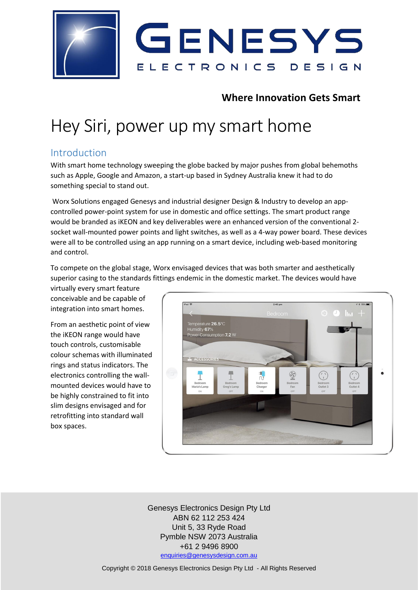

# **Where Innovation Gets Smart**

# Hey Siri, power up my smart home

### Introduction

With smart home technology sweeping the globe backed by major pushes from global behemoths such as Apple, Google and Amazon, a start-up based in Sydney Australia knew it had to do something special to stand out.

Worx Solutions engaged Genesys and industrial designer Design & Industry to develop an appcontrolled power-point system for use in domestic and office settings. The smart product range would be branded as iKEON and key deliverables were an enhanced version of the conventional 2 socket wall-mounted power points and light switches, as well as a 4-way power board. These devices were all to be controlled using an app running on a smart device, including web-based monitoring and control.

To compete on the global stage, Worx envisaged devices that was both smarter and aesthetically superior casing to the standards fittings endemic in the domestic market. The devices would have

virtually every smart feature conceivable and be capable of integration into smart homes.

From an aesthetic point of view the iKEON range would have touch controls, customisable colour schemas with illuminated rings and status indicators. The electronics controlling the wallmounted devices would have to be highly constrained to fit into slim designs envisaged and for retrofitting into standard wall box spaces.



Genesys Electronics Design Pty Ltd ABN 62 112 253 424 Unit 5, 33 Ryde Road Pymble NSW 2073 Australia +61 2 9496 8900 [enquiries@genesysdesign.com.au](mailto:enquiries@genesysdesign.com.au)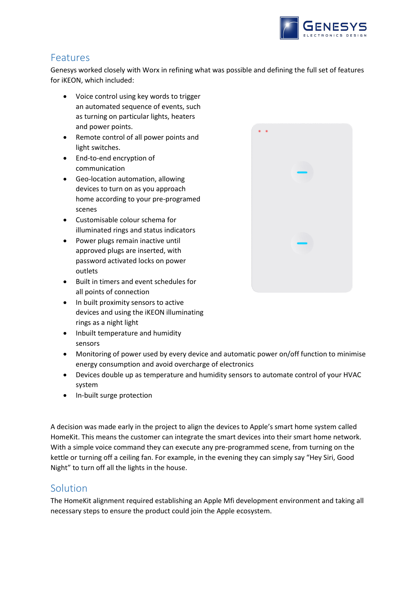

# Features

Genesys worked closely with Worx in refining what was possible and defining the full set of features for iKEON, which included:

- Voice control using key words to trigger an automated sequence of events, such as turning on particular lights, heaters and power points.
- Remote control of all power points and light switches.
- End-to-end encryption of communication
- Geo-location automation, allowing devices to turn on as you approach home according to your pre-programed scenes
- Customisable colour schema for illuminated rings and status indicators
- Power plugs remain inactive until approved plugs are inserted, with password activated locks on power outlets
- Built in timers and event schedules for all points of connection
- In built proximity sensors to active devices and using the iKEON illuminating rings as a night light
- Inbuilt temperature and humidity sensors
- Monitoring of power used by every device and automatic power on/off function to minimise energy consumption and avoid overcharge of electronics
- Devices double up as temperature and humidity sensors to automate control of your HVAC system
- In-built surge protection

A decision was made early in the project to align the devices to Apple's smart home system called HomeKit. This means the customer can integrate the smart devices into their smart home network. With a simple voice command they can execute any pre-programmed scene, from turning on the kettle or turning off a ceiling fan. For example, in the evening they can simply say "Hey Siri, Good Night" to turn off all the lights in the house.

#### Solution

The HomeKit alignment required establishing an Apple Mfi development environment and taking all necessary steps to ensure the product could join the Apple ecosystem.

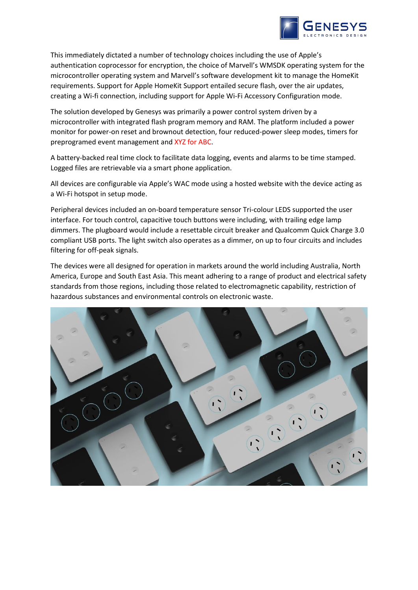

This immediately dictated a number of technology choices including the use of Apple's authentication coprocessor for encryption, the choice of Marvell's WMSDK operating system for the microcontroller operating system and Marvell's software development kit to manage the HomeKit requirements. Support for Apple HomeKit Support entailed secure flash, over the air updates, creating a Wi-fi connection, including support for Apple Wi-Fi Accessory Configuration mode.

The solution developed by Genesys was primarily a power control system driven by a microcontroller with integrated flash program memory and RAM. The platform included a power monitor for power-on reset and brownout detection, four reduced-power sleep modes, timers for preprogramed event management and XYZ for ABC.

A battery-backed real time clock to facilitate data logging, events and alarms to be time stamped. Logged files are retrievable via a smart phone application.

All devices are configurable via Apple's WAC mode using a hosted website with the device acting as a Wi-Fi hotspot in setup mode.

Peripheral devices included an on-board temperature sensor Tri-colour LEDS supported the user interface. For touch control, capacitive touch buttons were including, with trailing edge lamp dimmers. The plugboard would include a resettable circuit breaker and Qualcomm Quick Charge 3.0 compliant USB ports. The light switch also operates as a dimmer, on up to four circuits and includes filtering for off-peak signals.

The devices were all designed for operation in markets around the world including Australia, North America, Europe and South East Asia. This meant adhering to a range of product and electrical safety standards from those regions, including those related to electromagnetic capability, restriction of hazardous substances and environmental controls on electronic waste.